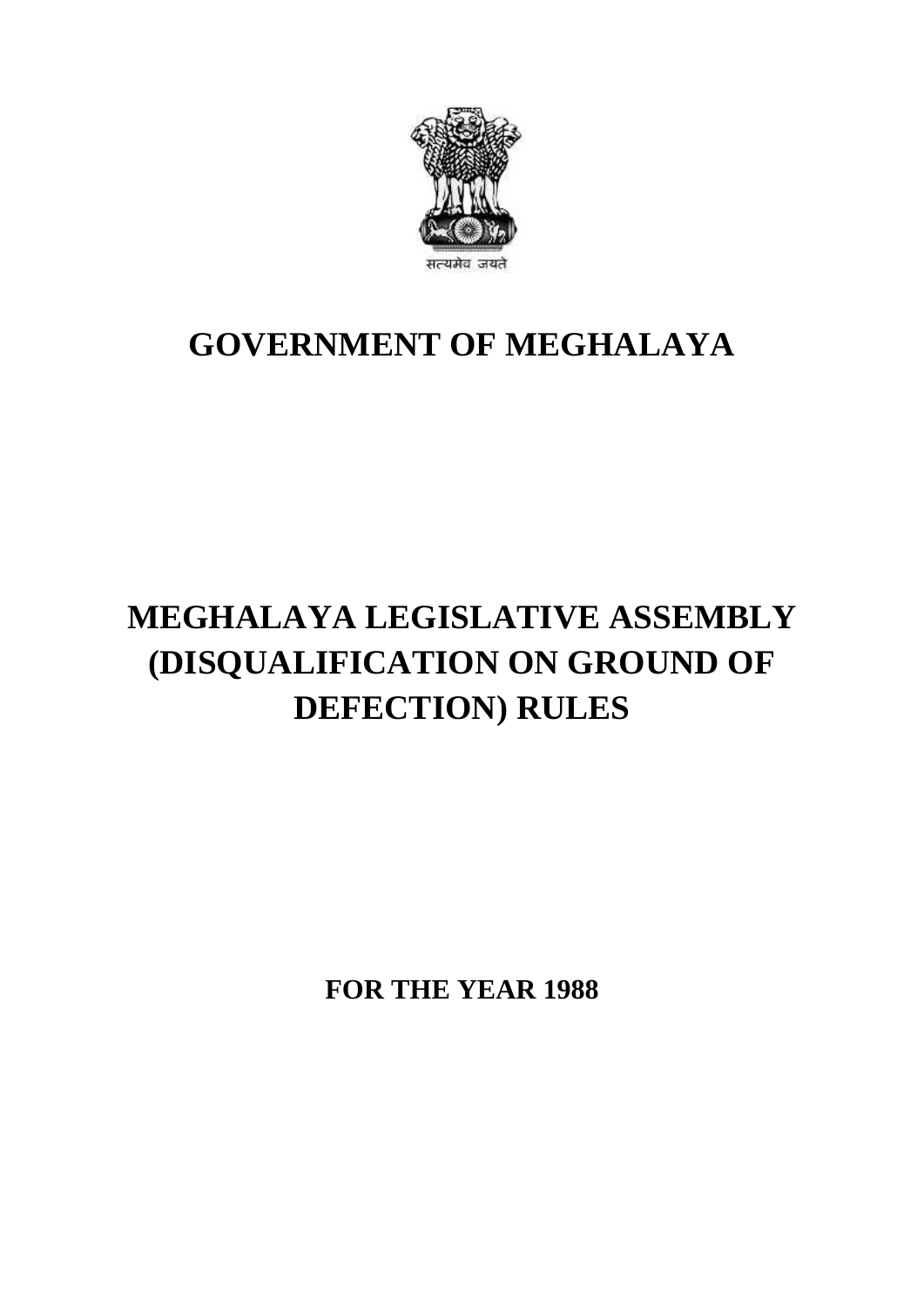

## **GOVERNMENT OF MEGHALAYA**

## **MEGHALAYA LEGISLATIVE ASSEMBLY (DISQUALIFICATION ON GROUND OF DEFECTION) RULES**

**FOR THE YEAR 1988**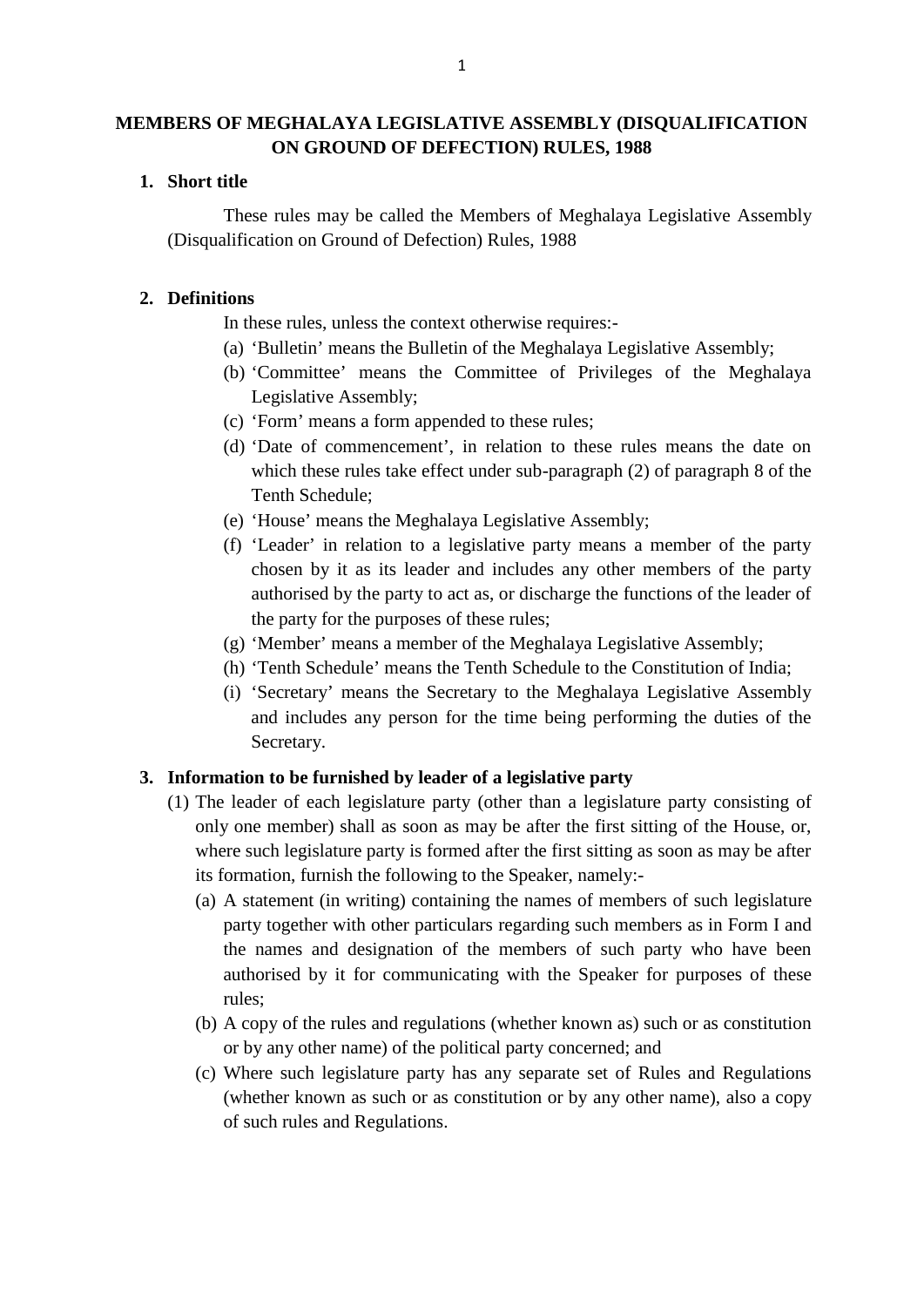# **MEMBERS OF MEGHALAYA LEGISLATIVE ASSEMBLY (DISQUALIFICATION ON GROUND OF DEFECTION) RULES, 1988 1. Short title**<br>
These rules

These rules may be called the Members of Meghalaya Legislative Assembly<br>if these rules may be called the Members of Meghalaya Legislative Assembly<br>ification on Ground of Defection) Rules, 1988 (Disputes of MEGHALATA LEGISLATIVE ASSEMBLY (DISPUTES) ON GROUND OF DEFECTION) RULES, 1988<br>Short title<br>These rules may be called the Members of Meghalaya<br>(Disqualification on Ground of Defection) Rules, 1988 **2. Definitions**<br> **2. Definitions**<br>
In these rules

In these rules, unless the context otherwise requires:-

- (a) 'Bulletin' means the Bulletin of the Meghalaya Legislative Assembly;
- (b) 'Committee' means the Committee of Privileges of the Meghalaya Legislative Assembly;
- (c) 'Form' means a form appended to these rules;
- (d) 'Date of commencement', in relation to these rules means the date on which these rules take effect under sub-paragraph (2) of paragraph 8 of the Tenth Schedule;
- (e) 'House' means the Meghalaya Legislative Assembly;
- (f) 'Leader' in relation to a legislative party means a member of the party chosen by it as its leader and includes any other members of the party authorised by the party to act as, or discharge the functions of the leader of the party for the purposes of these rules;
- (g) 'Member' means a member of the Meghalaya Legislative Assembly;
- (h) 'Tenth Schedule' means the Tenth Schedule to the Constitution of India;
- (i) 'Secretary' means the Secretary to the Meghalaya Legislative Assembly and includes any person for the time being performing the duties of the Secretary. (h) 'Tenth Schedule' means the Tenth Schedule to the Constitut<br>
(i) 'Secretary' means the Secretary to the Meghalaya Legisla<br>
and includes any person for the time being performing the<br>
Secretary.<br> **3. Information to be fur** (i) 'Secretary' means the Secretary to the Meghalaya Legislative Assembly<br>and includes any person for the time being performing the duties of the<br>Secretary.<br>**Information to be furnished by leader of a legislative party**<br>(

- only one member) shall as soon as may be after the first sitting of the House, or, where such legislature party is formed after the first sitting as soon as may be after its formation, furnish the following to the Speaker, namely:- The leader of each legislature party (other than a legislature party consisting of only one member) shall as soon as may be after the first sitting of the House, or, where such legislature party is formed after the first s party one member) shall as soon as may be after the first sitting of the House, or, are such legislature party is formed after the first sitting as soon as may be after formation, furnish the following to the Speaker, name
	- the names and designation of the members of such party who have been Formation, furnish the following to the Speaker, namely:-<br>A statement (in writing) containing the names of members of such legislature<br>party together with other particulars regarding such members as in Form I and<br>the names rules; party together with other particulars regarding such members as in Form I and<br>the names and designation of the members of such party who have been<br>authorised by it for communicating with the Speaker for purposes of these<br>r
	- or by any other name) of the political party concerned; and (b) A copy of the rules and regulations (whether known as) such or as constitution<br>or by any other name) of the political party concerned; and<br>(c) Where such legislature party has any separate set of Rules and Regulations<br>
	- The computer of the rules and regulations (whether known as) such or as constitution<br>or by any other name) of the political party concerned; and<br>Where such legislature party has any separate set of Rules and Regulations<br>(w of such rules and Regulations.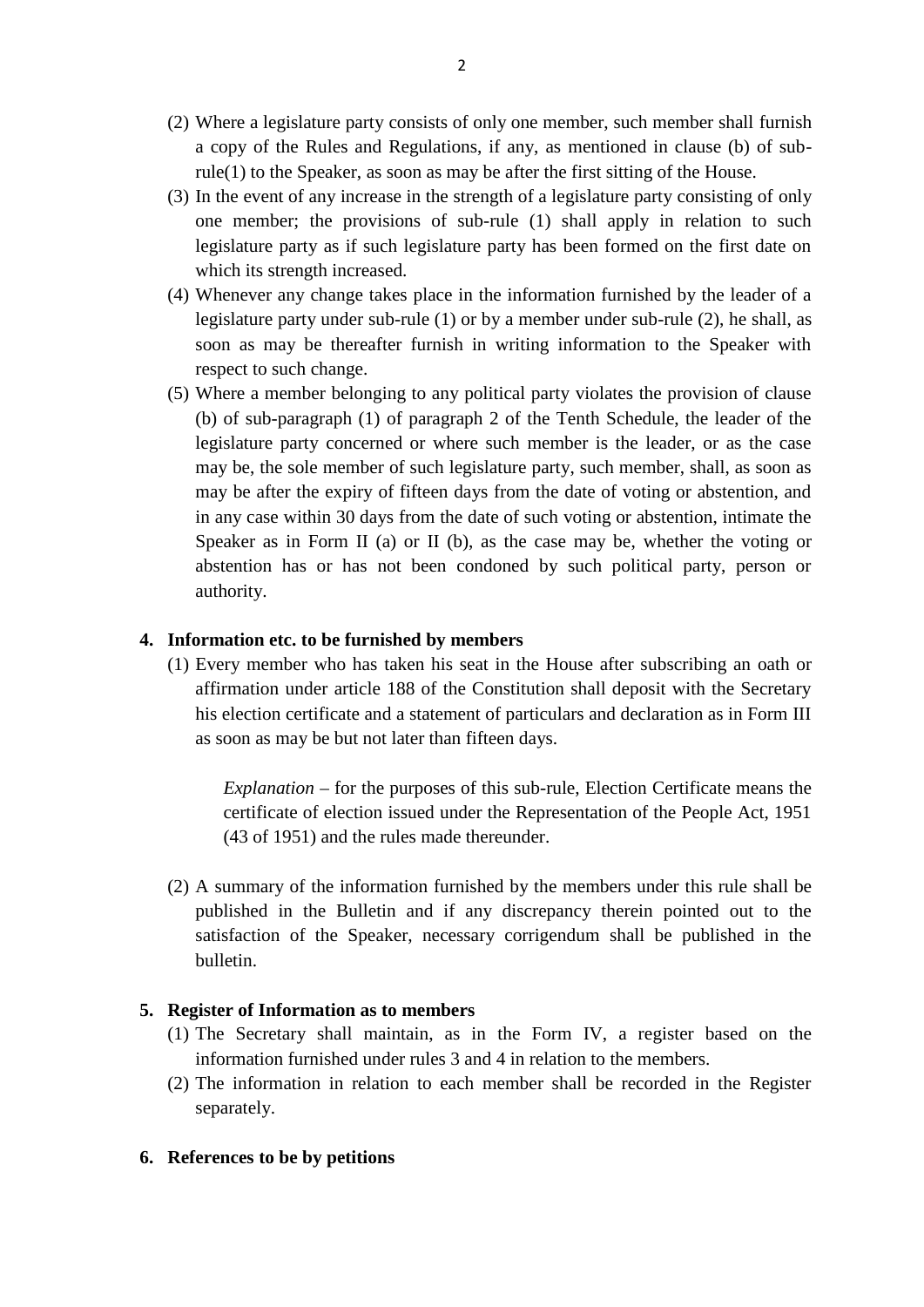- (2) Where a legislature party consists of only one member, such member shall furnish a copy of the Rules and Regulations, if any, as mentioned in clause (b) of subrule(1) to the Speaker, as soon as may be after the first sitting of the House. (2) Where a legislature party consists of only one member, such member shall furnish<br>a copy of the Rules and Regulations, if any, as mentioned in clause (b) of sub-<br>rule(1) to the Speaker, as soon as may be after the firs
- (3) In the event of any increase in the strength of a legislature party consisting of only one member; the provisions of sub-rule  $(1)$  shall apply in relation to such legislature party as if such legislature party has been formed on the first date on which its strength increased. (3) In the event of any increase in the strength of a legislature party consisting of only<br>one member; the provisions of sub-rule (1) shall apply in relation to such<br>legislature party as if such legislature party has been one member; the provisions of sub-rule (1) shall apply in relation to such legislature party as if such legislature party has been formed on the first date on which its strength increased.<br>Whenever any change takes place i
- soon as may be thereafter furnish in writing information to the Speaker with respect to such change. (4) Whenever any change takes place in the information furnished by the leader of a<br>legislature party under sub-rule (1) or by a member under sub-rule (2), he shall, as<br>soon as may be thereafter furnish in writing informa
- (b) of sub-paragraph (1) of paragraph 2 of the Tenth Schedule, the leader of the legislature party concerned or where such member is the leader, or as the case (5) Where a member belonging to any political party violates the provision of clause<br>(b) of sub-paragraph (1) of paragraph 2 of the Tenth Schedule, the leader of the<br>legislature party concerned or where such member is the may be after the expiry of fifteen days from the date of voting or abstention, and in any case within 30 days from the date of such voting or abstention, intimate the legislature party concerned or where such member is the leader, or as the case may be, the sole member of such legislature party, such member, shall, as soon as may be after the expiry of fifteen days from the date of voti abstention has or has not been condoned by such political party, person or authority. **4. Information has or has not been condoned by s**<br>**4. Information etc. to be furnished by members**<br>(1) Every member who has taken his seat in the Hou (1) Every member who has taken his seat in the House after subscribing an oath or affirmation under article 188 of the Constitution shall deposit with the Secretary

affirmation under article 188 of the Constitution shall deposit with the Secretary his election certificate and a statement of particulars and declaration as in Form III **Every member who has taken his seat in the House**<br>Every member who has taken his seat in the House<br>affirmation under article 188 of the Constitution sha<br>his election certificate and a statement of particulars as<br>soon as m

*Explanation* – for the purposes of this sub-rule, Election Certificate means the certificate of election issued under the Representation of the People Act, 1951 (43 of 1951) and the rules made thereunder.

(2) A summary of the information furnished by the members under this rule shall be published in the Bulletin and if any discrepancy therein pointed out to the satisfaction of the Speaker, necessary corrigendum shall be published in the bulletin. published in the Bulletin and if any discussitus and the Speaker, necessary con<br>bulletin.<br>**5. Register of Information as to members**<br>(1) The Secretary shall maintain, as in the Subseminor in the Speaker, necessary corrigendum shall be published in the bulletin.<br> **Register of Information as to members**<br>
(1) The Secretary shall maintain, as in the Form IV, a register based on the information furnis

- information furnished under rules 3 and 4 in relation to the members.
- Register of Information as to members<br>
(1) The Secretary shall maintain, as in the Form IV, a register based on the<br>
information furnished under rules 3 and 4 in relation to the members.<br>
(2) The information in relation to separately. **6. References to be by petitions**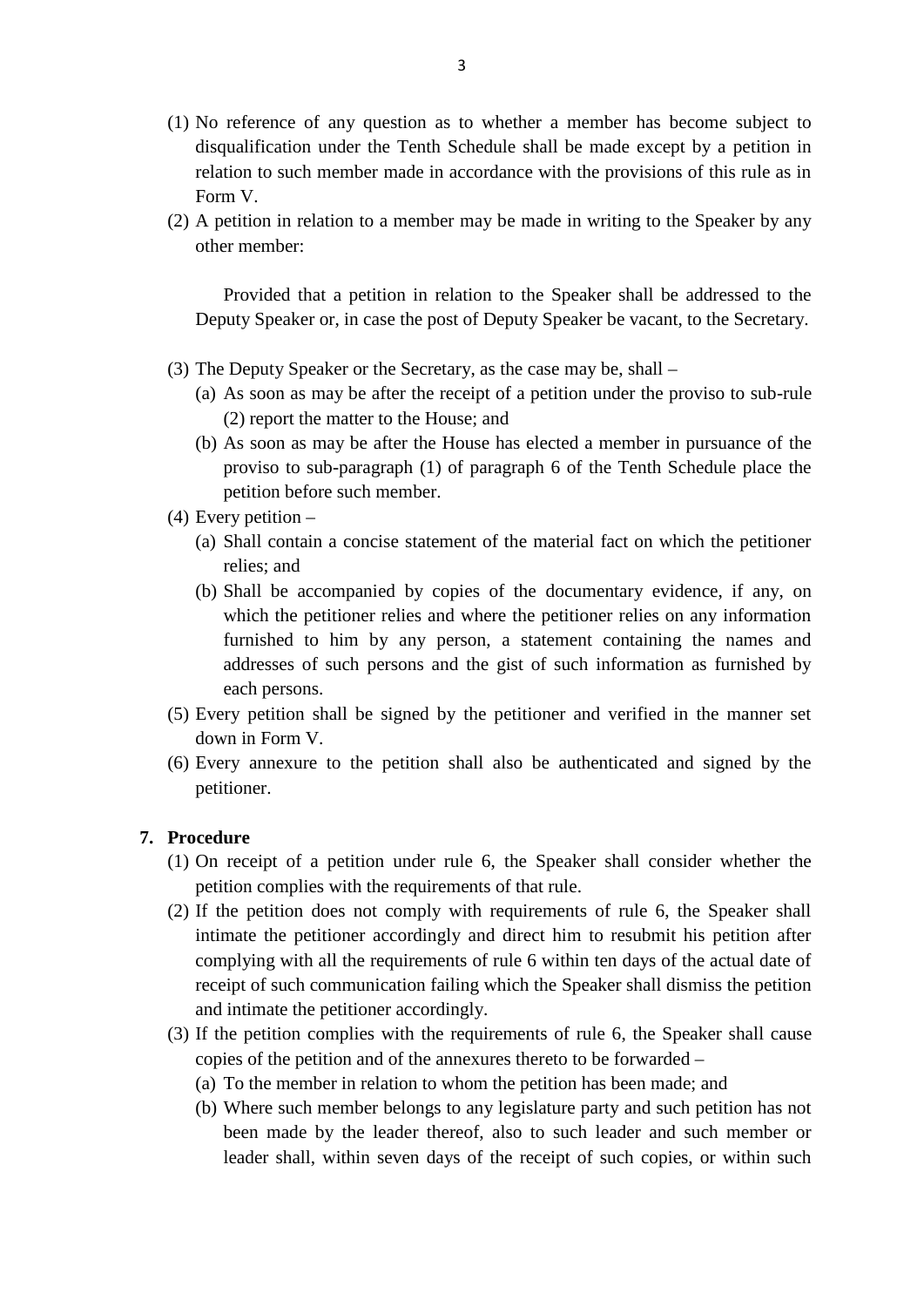- (1) No reference of any question as to whether a member has become subject to disqualification under the Tenth Schedule shall be made except by a petition in relation to such member made in accordance with the provisions of this rule as in Form V. (1) No reference of any question as to whether a member has become subject to disqualification under the Tenth Schedule shall be made except by a petition in relation to such member made in accordance with the provisions
- other member:

Provided that a petition in relation to the Speaker shall be addressed to the Deputy Speaker or, in case the post of Deputy Speaker be vacant, to the Secretary. Provided that a petition in relation to the Speaker shall be addressed Deputy Speaker or, in case the post of Deputy Speaker be vacant, to the S<br>(3) The Deputy Speaker or the Secretary, as the case may be, shall –<br>(a) As s

- 
- Provided that a petition in relation to the Speaker shall be addressed to the Deputy Speaker or, in case the post of Deputy Speaker be vacant, to the Secretary.<br>The Deputy Speaker or the Secretary, as the case may be, shal (2) report the matter to the House; and
- The Deputy Speaker or the Secretary, as the case may be, shall –<br>
(a) As soon as may be after the receipt of a petition under the proviso to sub-rule<br>
(2) report the matter to the House; and<br>
(b) As soon as may be after th proviso to sub-paragraph (1) of paragraph 6 of the Tenth Schedule place the petition before such member. (2) report the matter t<br>
(b) As soon as may be a<br>
proviso to sub-parage<br>
petition before such n<br>
(4) Every petition –<br>
(a) Shall contain a conci (b) As soon as may be after the House has elected a member in pursuance of the proviso to sub-paragraph (1) of paragraph 6 of the Tenth Schedule place the petition before such member.<br>Every petition –<br>(a) Shall contain a
- - relies; and
- (a) Shall contain a concise statement of the material fact on which the petitioner<br>
(a) Shall contain a concise statement of the material fact on which the petitioner<br>
relies; and<br>
(b) Shall be accompanied by copies of the which the petitioner relies and where the petitioner relies on any information furnished to him by any person, a statement containing the names and addresses of such persons and the gist of such information as furnished by each persons. which the petitioner relies and where the petitioner relies on any information<br>furnished to him by any person, a statement containing the names and<br>addresses of such persons and the gist of such information as furnished by duces a formulation shall be signed by the petitioner and verified in the manner set<br>down in Form V.<br>(6) Every annexure to the petition shall also be authenticated and signed by the petitioner.
- down in Form V.
- petitioner. down in Form<br>
(6) Every annexure<br>
petitioner.<br> **7. Procedure**<br>
(1) On receipt of (6) Every annexure to the petition shall also be authenticated and signed by the petitioner.<br> **7. Procedure**<br>
(1) On receipt of a petition under rule 6, the Speaker shall consider whether the

- petition complies with the requirements of that rule.
- (2) If the petition does not comply with requirements of rule 6, the Speaker shall intimate the petitioner accordingly and direct him to resubmit his petition after complying with all the requirements of rule 6 within ten days of the actual date of receipt of such communication failing which the Speaker shall dismiss the petition and intimate the petitioner accordingly. in timate the petitioner accordingly and direct him to resubmit his petition after<br>complying with all the requirements of rule 6 within ten days of the actual date of<br>receipt of such communication failing which the Speake receipt of such communication failing which the Speaker shall dismiss the petition<br>and intimate the petitioner accordingly.<br>If the petition complies with the requirements of rule 6, the Speaker shall cau<br>copies of the peti
- copies of the petition and of the annexures thereto to be forwarded
	-
- In the petitioner accordingly.<br>
If the petition complies with the requirements of rule 6, the Speaker shall cause<br>
copies of the petition and of the annexures thereto to be forwarded –<br>
(a) To the member in relation to who here petition complies with the requirements of rule 6, the Speaker shall cause<br>ies of the petition and of the annexures thereto to be forwarded –<br>To the member in relation to whom the petition has been made; and<br>Where suc leader shall, within seven days of the receipt of such copies, or within such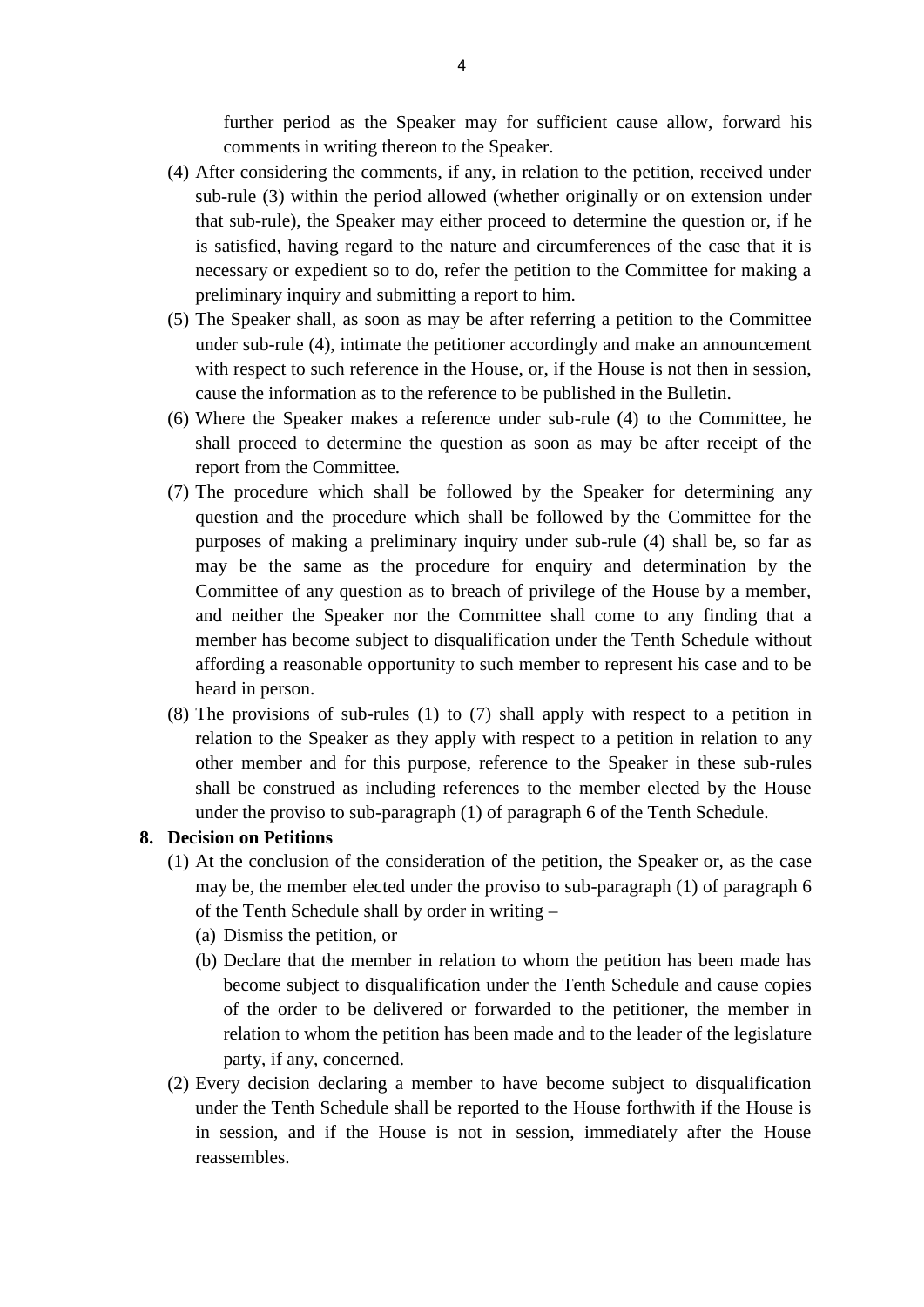further period as the Speaker may for sufficient cause allow, forward his comments in writing thereon to the Speaker.

- (4) After considering the comments, if any, in relation to the petition, received under sub-rule (3) within the period allowed (whether originally or on extension under that sub-rule), the Speaker may either proceed to determine the question or, if he is satisfied, having regard to the nature and circumferences of the case that it is necessary or expedient so to do, refer the petition to the Committee for making a preliminary inquiry and submitting a report to him. that sub-rule), the Speaker may either proceed to determine the question or, if he<br>is satisfied, having regard to the nature and circumferences of the case that it is<br>necessary or expedient so to do, refer the petition to
- under sub-rule (4), intimate the petitioner accordingly and make an announcement with respect to such reference in the House, or, if the House is not then in session, preliminary inquiry and submitting a report to him.<br>The Speaker shall, as soon as may be after referring a petition to the Com<br>under sub-rule (4), intimate the petitioner accordingly and make an announc<br>with respect to suc (5) The Speaker shall, as soon as may be after referring a petition to the Committee under sub-rule (4), intimate the petitioner accordingly and make an announcement with respect to such reference in the House, or, if the
- shall proceed to determine the question as soon as may be after receipt of the report from the Committee. (6) Where the Speaker makes a reference to be published in the Bulletin.<br>
(6) Where the Speaker makes a reference under sub-rule (4) to the Committee, he shall proceed to determine the question as soon as may be after rece
- question and the procedure which shall be followed by the Committee for the purposes of making a preliminary inquiry under sub-rule (4) shall be, so far as may be the same as the procedure for enquiry and determination by the Committee of any question as to breach of privilege of the House by a me may be the same as the procedure for enquiry and determination by the Committee of any question as to breach of privilege of the House by a member, and neither the Speaker nor the Committee shall come to any finding that a affording a reasonable opportunity to such member to represent his case and to be heard in person. member has become subject to disqualification under the Tenth Schedule without affording a reasonable opportunity to such member to represent his case and to be heard in person.<br>(8) The provisions of sub-rules (1) to (7) s member has become subject to disqualification under the Tenth Schedule without affording a reasonable opportunity to such member to represent his case and to be heard in person.<br>The provisions of sub-rules (1) to (7) shall
- under the proviso to sub-paragraph (1) of paragraph 6 of the Tenth Schedule. relation to the Speaker as<br>
other member and for th<br>
shall be construed as inc<br>
under the proviso to sub-<br> **8.** Decision on Petitions<br>
(1) At the conclusion of the other member and for this purpose, reference to the Speaker in these sub-rules<br>shall be construed as including references to the member elected by the House<br>under the proviso to sub-paragraph (1) of paragraph 6 of the Tent

- shall be construed as including references to the member elected by the House<br>under the proviso to sub-paragraph (1) of paragraph 6 of the Tenth Schedule.<br>**Example 18 All the conclusion** of the consideration of the petitio of the Tenth Schedule shall by order in writing – (a) Discomes At the conclusion of the conside<br>
may be, the member elected under<br>
of the Tenth Schedule shall by or<br>
(a) Dismiss the petition, or<br>
(b) Declare that the member in 1 At the conclusion of the consideration of the petition, the Speaker or, as the case<br>may be, the member elected under the proviso to sub-paragraph (1) of paragraph 6<br>of the Tenth Schedule shall by order in writing –<br>(a) Dis
	-
- become subject to disqualification under the Tenth Schedule and cause copies of the order to be delivered or forwarded to the petitioner, the member in (a) Dismiss the petition, or<br>
(b) Declare that the member in relation to whom the petition has been made has<br>
become subject to disqualification under the Tenth Schedule and cause copies<br>
of the order to be delivered or fo party, if any, concerned. become subject to disqualification under the Tenth Schedule and cause copies<br>of the order to be delivered or forwarded to the petitioner, the member in<br>relation to whom the petition has been made and to the leader of the l
- under the Tenth Schedule shall be reported to the House forthwith if the House is in session, and if the House is not in session, immediately after the House reassembles.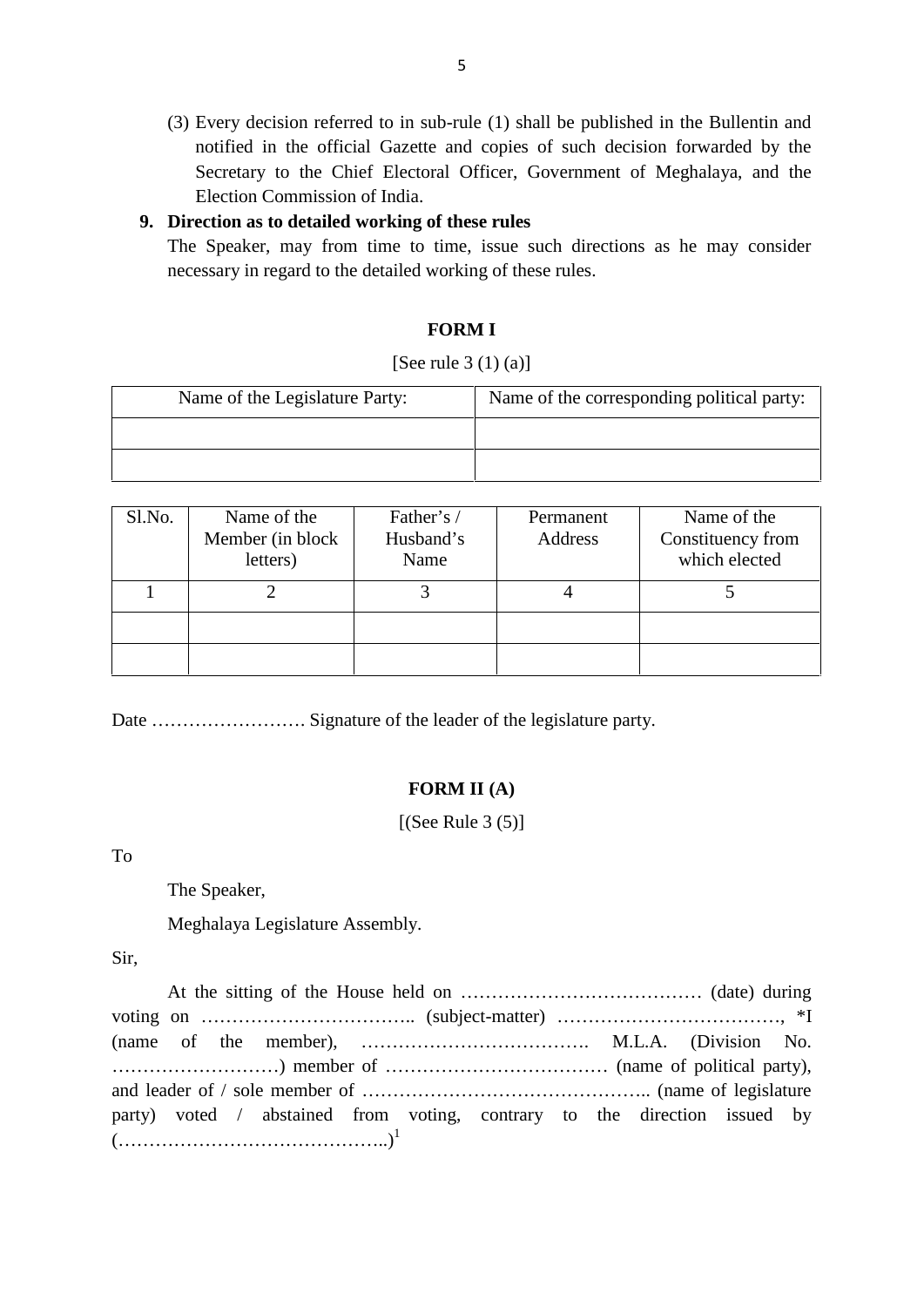(3) Every decision referred to in sub-rule (1) shall be published in the Bullentin and notified in the official Gazette and copies of such decision forwarded by the Secretary to the Chief Electoral Officer, Government of Meghalaya, and the Election Commission of India. (3) Every decision referred to in sub-rule (1) shall be motified in the official Gazette and copies of suce Secretary to the Chief Electoral Officer, Govern Election Commission of India.<br>**9. Direction as to detailed workin** notified in the official Gazette and copies of such decision forwarded by the<br>Secretary to the Chief Electoral Officer, Government of Meghalaya, and the<br>Election Commission of India.<br>**Direction as to detailed working of th** 

necessary in regard to the detailed working of these rules.

### **FORM I**

### [See rule  $3(1)(a)$ ]

|        |                                                | <b>FORM I</b>             |                                            |                                                                                             |  |
|--------|------------------------------------------------|---------------------------|--------------------------------------------|---------------------------------------------------------------------------------------------|--|
|        |                                                | [See rule $3(1)(a)$ ]     |                                            |                                                                                             |  |
|        | Name of the Legislature Party:                 |                           | Name of the corresponding political party: |                                                                                             |  |
|        |                                                |                           |                                            |                                                                                             |  |
|        |                                                |                           |                                            |                                                                                             |  |
|        |                                                |                           |                                            |                                                                                             |  |
| Sl.No. | Name of the                                    | Father's /                | Permanent                                  | Name of the                                                                                 |  |
|        | Member (in block)<br>$\mathbf{1}$ $\mathbf{1}$ | Husband's<br>$\mathbf{r}$ | Address                                    | Constituency from<br>$\begin{array}{ccccccccccccccccc}\n1 & 1 & 1 & 1 & 1 & 1\n\end{array}$ |  |

| Sl.No. | Name of the<br>Member (in block<br>letters) | Father's /<br>Husband's<br>Name | Permanent<br>Address | Name of the<br>Constituency from<br>which elected |
|--------|---------------------------------------------|---------------------------------|----------------------|---------------------------------------------------|
|        | ∍                                           | 3                               |                      |                                                   |
|        |                                             |                                 |                      |                                                   |
|        |                                             |                                 |                      |                                                   |

Date ……………………. Signature of the leader of the legislature party.

### **FORM II (A)**

 $[(See Rule 3 (5)]$ 

To

The Speaker,

Meghalaya Legislature Assembly.

Sir,

At the sitting of the House held on ………………………………… (date) during voting on …………………………….. (subject-matter) ………………………………, \*I (name of the member), ………………………………. M.L.A. (Division No. ………………………) member of ……………………………… (name of political party), and leader of / sole member of ……………………………………….. (name of legislature party) voted / abstained from voting, contrary to the direction issued by  $(\ldots\ldots\ldots\ldots\ldots\ldots\ldots\ldots\ldots\ldots\ldots\ldots\ldots)^{1}$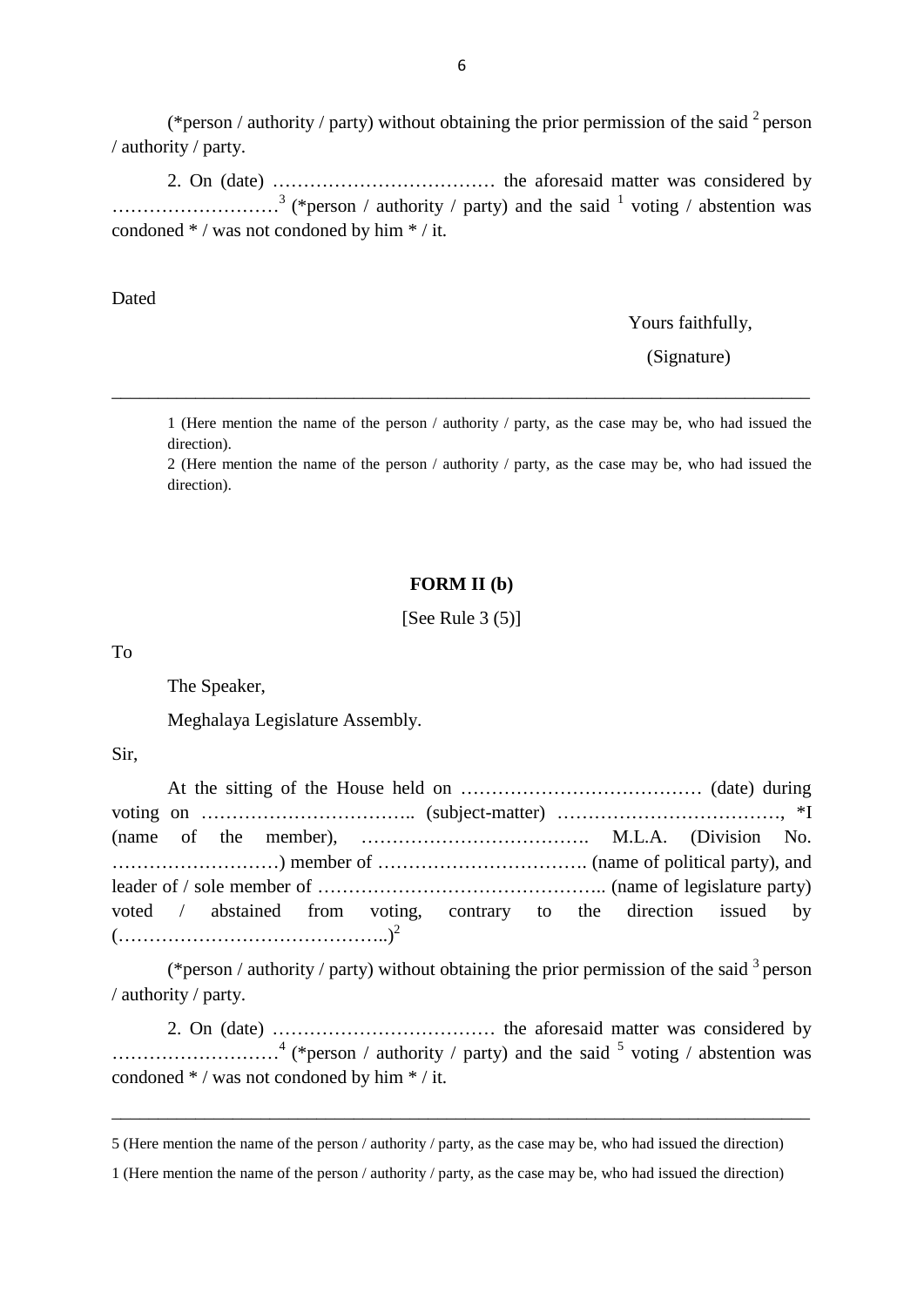% 6<br>(\*person / authority / party) without obtaining the prior permission of the said  $^2$  person<br>ity / party. person / authority / party.

2. On (date) ……………………………… the aforesaid matter was considered by  $\ldots$   $\ldots$   $\ldots$   $\ldots$   $\ldots$   $\ldots$   $\ldots$   $\ldots$   $\ldots$   $\ldots$   $\ldots$   $\ldots$   $\ldots$   $\ldots$   $\ldots$   $\ldots$   $\ldots$   $\ldots$   $\ldots$   $\ldots$   $\ldots$   $\ldots$   $\ldots$   $\ldots$   $\ldots$   $\ldots$   $\ldots$   $\ldots$   $\ldots$   $\ldots$   $\ldots$   $\ldots$   $\ldots$   $\ldots$   $\ldots$   $\ldots$   $\ldots$ condoned \* / was not condoned by him \* / it.

Dated

Yours faithfully,

(Signature)

1 (Here mention the name of the person / authority / party, as the case may be, who had issued the direction).

\_\_\_\_\_\_\_\_\_\_\_\_\_\_\_\_\_\_\_\_\_\_\_\_\_\_\_\_\_\_\_\_\_\_\_\_\_\_\_\_\_\_\_\_\_\_\_\_\_\_\_\_\_\_\_\_\_\_\_\_\_\_\_\_\_\_\_\_\_\_\_\_\_\_\_

2 (Here mention the name of the person / authority / party, as the case may be, who had issued the direction).

### **FORM II (b)**

[See Rule  $3(5)$ ]

To

The Speaker,

Meghalaya Legislature Assembly.

Sir,

|  | voted / abstained from voting, contrary to the direction issued by |  |  |  |  |
|--|--------------------------------------------------------------------|--|--|--|--|
|  |                                                                    |  |  |  |  |

(\*person / authority / party) without obtaining the prior permission of the said  $3$  person / authority / party.

2. On (date) ……………………………… the aforesaid matter was considered by  $\ldots$   $\ldots$   $\ldots$   $\ldots$   $\ldots$  (\*person / authority / party) and the said  $\frac{5}{7}$  voting / abstention was condoned \* / was not condoned by him \* / it.

\_\_\_\_\_\_\_\_\_\_\_\_\_\_\_\_\_\_\_\_\_\_\_\_\_\_\_\_\_\_\_\_\_\_\_\_\_\_\_\_\_\_\_\_\_\_\_\_\_\_\_\_\_\_\_\_\_\_\_\_\_\_\_\_\_\_\_\_\_\_\_\_\_\_\_

<sup>5 (</sup>Here mention the name of the person / authority / party, as the case may be, who had issued the direction)

<sup>1 (</sup>Here mention the name of the person / authority / party, as the case may be, who had issued the direction)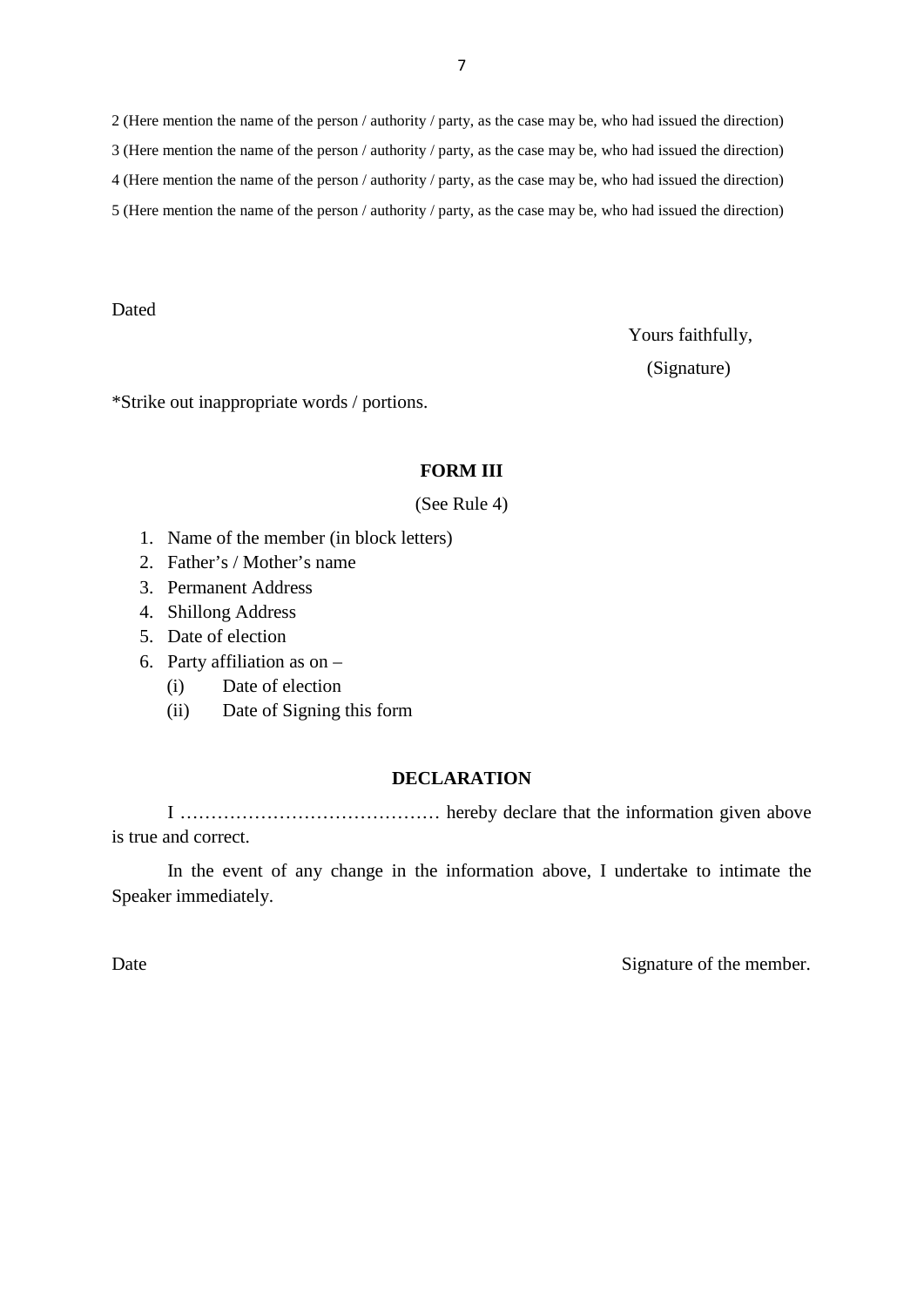2 (Here mention the name of the person / authority / party, as the case may be, who had issued the direction) 3 (Here mention the name of the person / authority / party, as the case may be, who had issued the direction) 4 (Here mention the name of the person / authority / party, as the case may be, who had issued the direction) 5 (Here mention the name of the person / authority / party, as the case may be, who had issued the direction)

**Dated** 

Yours faithfully,

(Signature)

\*Strike out inappropriate words / portions.

### **FORM III**

(See Rule 4)

- **FORM II**<br>(See Rule 4)<br>1. Name of the member (in block letters)<br>2. Father's / Mother's name 1. Name of the member (in b.<br>2. Father's / Mother's name<br>3. Permanent Address<br>4. Shillong Address
- 2. Father's / Mother's name 1. Name of the member (in<br>2. Father's / Mother's nam<br>3. Permanent Address<br>4. Shillong Address<br>5. Date of election 1. Father's / Mother's name<br>
1. Permanent Address<br>
4. Shillong Address<br>
5. Date of election<br>
6. Party affiliation as on –<br>
(i) Date of election
- 
- 
- 
- 3. Permanent Address<br>4. Shillong Address<br>5. Date of election<br>6. Party affiliation as on
	-
- Permanent Address<br>
Shillong Address<br>
Date of election<br>
Party affiliation as on –<br>
(i) Date of election<br>
(ii) Date of Signing this form Shillong Address<br>
Date of election<br>
Party affiliation as on –<br>
(i) Date of election<br>
(ii) Date of Signing this form

### **DECLARATION**

I …………………………………… hereby declare that the information given above is true and correct.

In the event of any change in the information above, I undertake to intimate the Speaker immediately.

Date Signature of the member.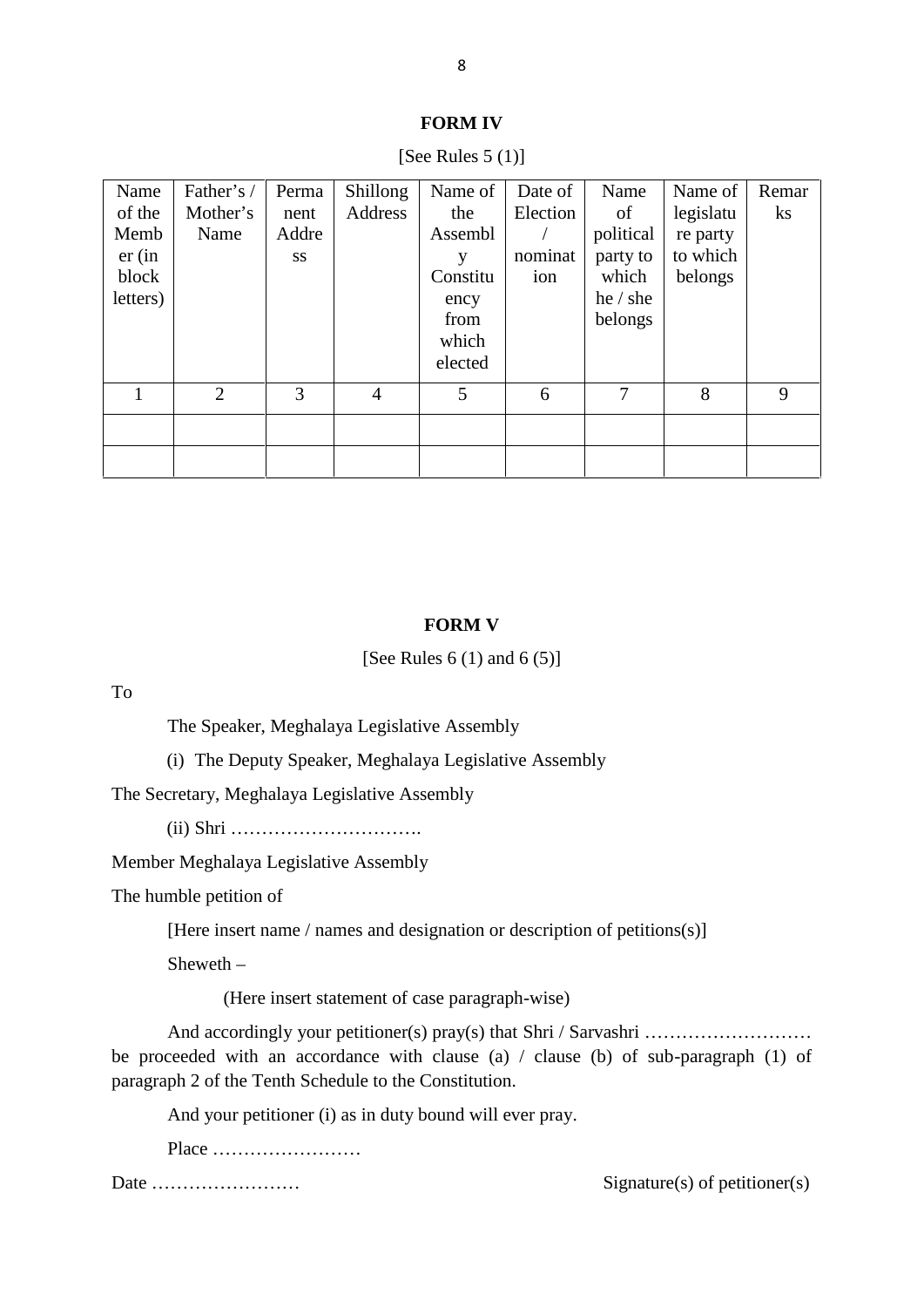|                                                       |                                |                                     |                     | 8                                                                              |                                       |                                                                     |                                                         |                   |  |
|-------------------------------------------------------|--------------------------------|-------------------------------------|---------------------|--------------------------------------------------------------------------------|---------------------------------------|---------------------------------------------------------------------|---------------------------------------------------------|-------------------|--|
| <b>FORM IV</b><br>[See Rules $5(1)$ ]                 |                                |                                     |                     |                                                                                |                                       |                                                                     |                                                         |                   |  |
| Name<br>of the<br>Memb<br>er(in)<br>block<br>letters) | Father's /<br>Mother's<br>Name | Perma<br>nent<br>Addre<br><b>SS</b> | Shillong<br>Address | Name of<br>the<br>Assembl<br>y<br>Constitu<br>ency<br>from<br>which<br>elected | Date of<br>Election<br>nominat<br>ion | Name<br>of<br>political<br>party to<br>which<br>he / she<br>belongs | Name of<br>legislatu<br>re party<br>to which<br>belongs | Remar<br>$\rm ks$ |  |
| 1                                                     | $\overline{2}$                 | $\overline{3}$                      | $\overline{4}$      | 5                                                                              | 6                                     | $\overline{7}$                                                      | 8                                                       | 9                 |  |

### **FORM IV**

### **FORM V**

[See Rules  $6(1)$  and  $6(5)$ ]

To

The Speaker, Meghalaya Legislative Assembly

(i) The Deputy Speaker, Meghalaya Legislative Assembly

The Secretary, Meghalaya Legislative Assembly

(ii) Shri ………………………….

Member Meghalaya Legislative Assembly

The humble petition of

[Here insert name / names and designation or description of petitions(s)]

Sheweth –

(Here insert statement of case paragraph-wise)

And accordingly your petitioner(s) pray(s) that Shri / Sarvashri ……………………… be proceeded with an accordance with clause (a) / clause (b) of sub-paragraph (1) of paragraph 2 of the Tenth Schedule to the Constitution. And accordingly your petitioner(s) pray(s) that Shri / Sarva ceeded with an accordance with clause (a) / clause (b) ph 2 of the Tenth Schedule to the Constitution.<br>And your petitioner (i) as in duty bound will ever pray.<br>

Place ……………………

Date …………………… Signature(s) of petitioner(s)